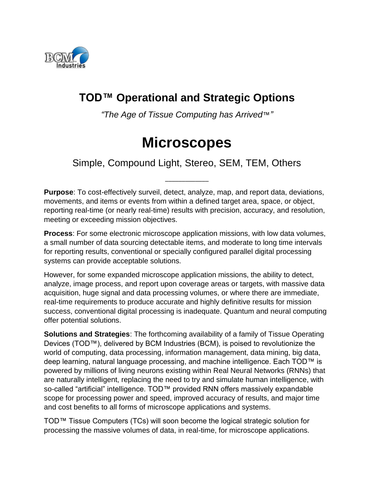

## **TOD™ Operational and Strategic Options**

*"The Age of Tissue Computing has Arrived*™*"*

# **Microscopes**

Simple, Compound Light, Stereo, SEM, TEM, Others

\_\_\_\_\_\_\_\_\_\_\_\_\_

**Purpose**: To cost-effectively surveil, detect, analyze, map, and report data, deviations, movements, and items or events from within a defined target area, space, or object, reporting real-time (or nearly real-time) results with precision, accuracy, and resolution, meeting or exceeding mission objectives.

**Process**: For some electronic microscope application missions, with low data volumes, a small number of data sourcing detectable items, and moderate to long time intervals for reporting results, conventional or specially configured parallel digital processing systems can provide acceptable solutions.

However, for some expanded microscope application missions, the ability to detect, analyze, image process, and report upon coverage areas or targets, with massive data acquisition, huge signal and data processing volumes, or where there are immediate, real-time requirements to produce accurate and highly definitive results for mission success, conventional digital processing is inadequate. Quantum and neural computing offer potential solutions.

**Solutions and Strategies**: The forthcoming availability of a family of Tissue Operating Devices (TOD™), delivered by BCM Industries (BCM), is poised to revolutionize the world of computing, data processing, information management, data mining, big data, deep learning, natural language processing, and machine intelligence. Each TOD™ is powered by millions of living neurons existing within Real Neural Networks (RNNs) that are naturally intelligent, replacing the need to try and simulate human intelligence, with so-called "artificial" intelligence. TOD™ provided RNN offers massively expandable scope for processing power and speed, improved accuracy of results, and major time and cost benefits to all forms of microscope applications and systems.

TOD™ Tissue Computers (TCs) will soon become the logical strategic solution for processing the massive volumes of data, in real-time, for microscope applications.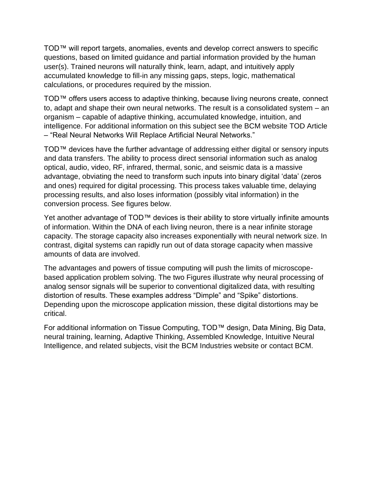TOD™ will report targets, anomalies, events and develop correct answers to specific questions, based on limited guidance and partial information provided by the human user(s). Trained neurons will naturally think, learn, adapt, and intuitively apply accumulated knowledge to fill-in any missing gaps, steps, logic, mathematical calculations, or procedures required by the mission.

TOD™ offers users access to adaptive thinking, because living neurons create, connect to, adapt and shape their own neural networks. The result is a consolidated system – an organism – capable of adaptive thinking, accumulated knowledge, intuition, and intelligence. For additional information on this subject see the BCM website TOD Article – "Real Neural Networks Will Replace Artificial Neural Networks."

TOD™ devices have the further advantage of addressing either digital or sensory inputs and data transfers. The ability to process direct sensorial information such as analog optical, audio, video, RF, infrared, thermal, sonic, and seismic data is a massive advantage, obviating the need to transform such inputs into binary digital 'data' (zeros and ones) required for digital processing. This process takes valuable time, delaying processing results, and also loses information (possibly vital information) in the conversion process. See figures below.

Yet another advantage of TOD™ devices is their ability to store virtually infinite amounts of information. Within the DNA of each living neuron, there is a near infinite storage capacity. The storage capacity also increases exponentially with neural network size. In contrast, digital systems can rapidly run out of data storage capacity when massive amounts of data are involved.

The advantages and powers of tissue computing will push the limits of microscopebased application problem solving. The two Figures illustrate why neural processing of analog sensor signals will be superior to conventional digitalized data, with resulting distortion of results. These examples address "Dimple" and "Spike" distortions. Depending upon the microscope application mission, these digital distortions may be critical.

For additional information on Tissue Computing, TOD™ design, Data Mining, Big Data, neural training, learning, Adaptive Thinking, Assembled Knowledge, Intuitive Neural Intelligence, and related subjects, visit the BCM Industries website or contact BCM.